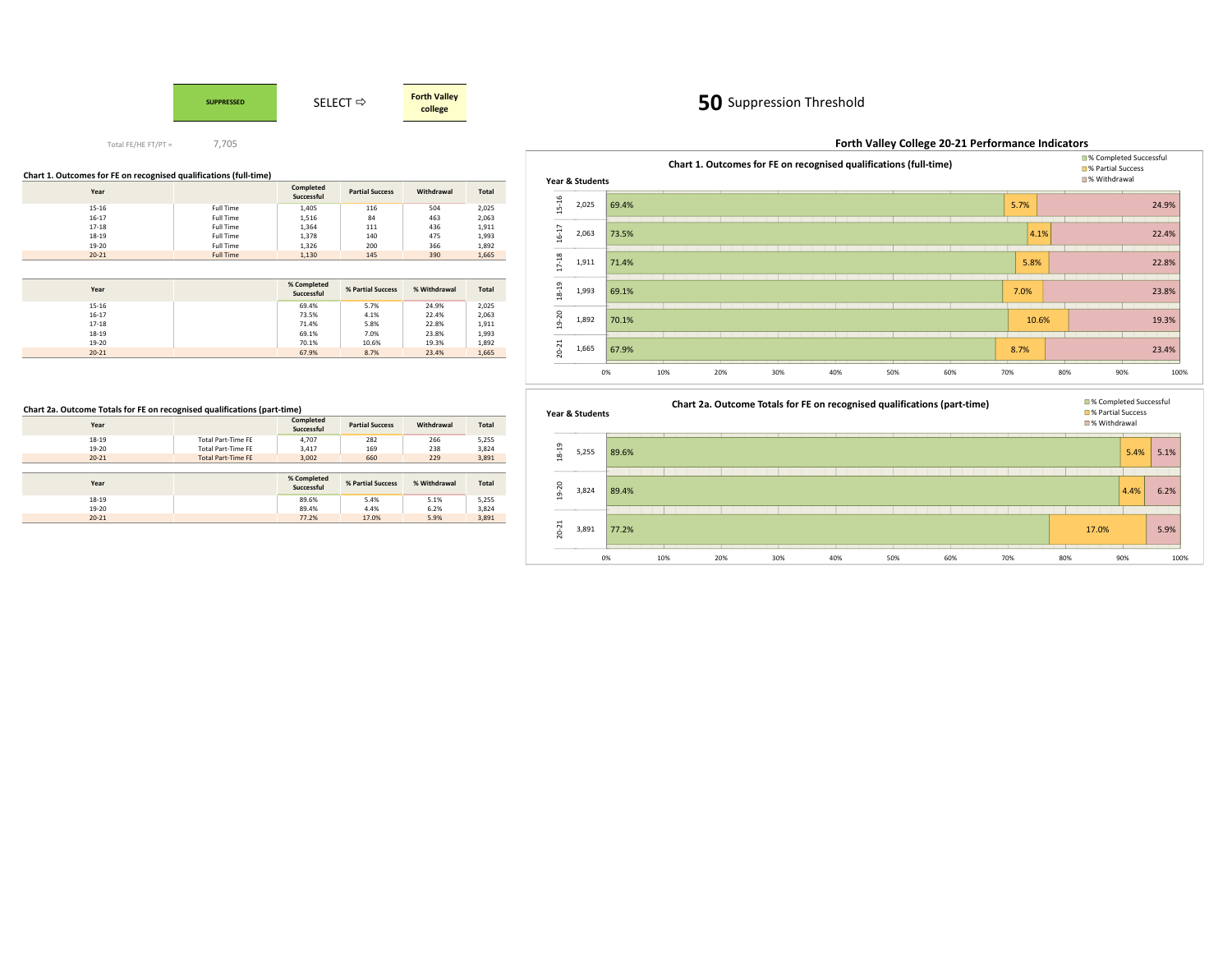

# 50 Suppression Threshold

#### **Forth Valley College 20-21 Performance Indicators** 69.4%73.5%71.4%69.1%70.1%67.9%5.7% $4.1%$ 5.8%7.0%10.6%8.7%24.9%22.4%22.8%23.8%19.3%23.4%0% 10% 20% 30% 40% 50% 60% 70% 80% 90% 100% 2,025 2,063 1,911 1,993 1,892 1,66515-16 16-17 17-18 18-19 19-20 20-21 **Chart 1. Outcomes for FE on recognised qualifications (full-time)**■% Completed Successful<br>■% Partial Success **Year & Students**s second and the second second second second second second second second second second second second second second second second second second second second second second second second second second second second second s

## **Chart 1. Outcomes for FE on recognised qualifications (full-time)**

| Year      |                  | Completed<br>Successful | <b>Partial Success</b> | Withdrawal | <b>Total</b> |
|-----------|------------------|-------------------------|------------------------|------------|--------------|
| $15 - 16$ | Full Time        | 1,405                   | 116                    | 504        | 2,025        |
| $16 - 17$ | Full Time        | 1,516                   | 84                     | 463        | 2,063        |
| $17 - 18$ | Full Time        | 1,364                   | 111                    | 436        | 1,911        |
| 18-19     | Full Time        | 1,378                   | 140                    | 475        | 1,993        |
| 19-20     | Full Time        | 1,326                   | 200                    | 366        | 1,892        |
| $20 - 21$ | <b>Full Time</b> | 1,130                   | 145                    | 390        | 1,665        |

| Year      | % Completed<br>Successful | % Partial Success | % Withdrawal | <b>Total</b> |
|-----------|---------------------------|-------------------|--------------|--------------|
| $15 - 16$ | 69.4%                     | 5.7%              | 24.9%        | 2,025        |
| $16 - 17$ | 73.5%                     | 4.1%              | 22.4%        | 2,063        |
| $17 - 18$ | 71.4%                     | 5.8%              | 22.8%        | 1,911        |
| $18 - 19$ | 69.1%                     | 7.0%              | 23.8%        | 1,993        |
| 19-20     | 70.1%                     | 10.6%             | 19.3%        | 1,892        |
| $20 - 21$ | 67.9%                     | 8.7%              | 23.4%        | 1,665        |

## **Chart 2a. Outcome Totals for FE on recognised qualifications (part-time)**

| Year      |                           | Completed<br>Successful   | <b>Partial Success</b> | Withdrawal   | Total |
|-----------|---------------------------|---------------------------|------------------------|--------------|-------|
| 18-19     | Total Part-Time FF        | 4.707                     | 282                    | 266          | 5,255 |
| 19-20     | <b>Total Part-Time FE</b> | 3,417                     | 169                    | 238          | 3,824 |
| $20 - 21$ | <b>Total Part-Time FE</b> | 3.002                     | 660                    | 229          | 3,891 |
|           |                           |                           |                        |              |       |
|           |                           |                           |                        |              |       |
| Year      |                           | % Completed<br>Successful | % Partial Success      | % Withdrawal | Total |
| $18 - 19$ |                           | 89.6%                     | 5.4%                   | 5.1%         | 5,255 |
| 19-20     |                           | 89.4%                     | 4.4%                   | 6.2%         | 3,824 |

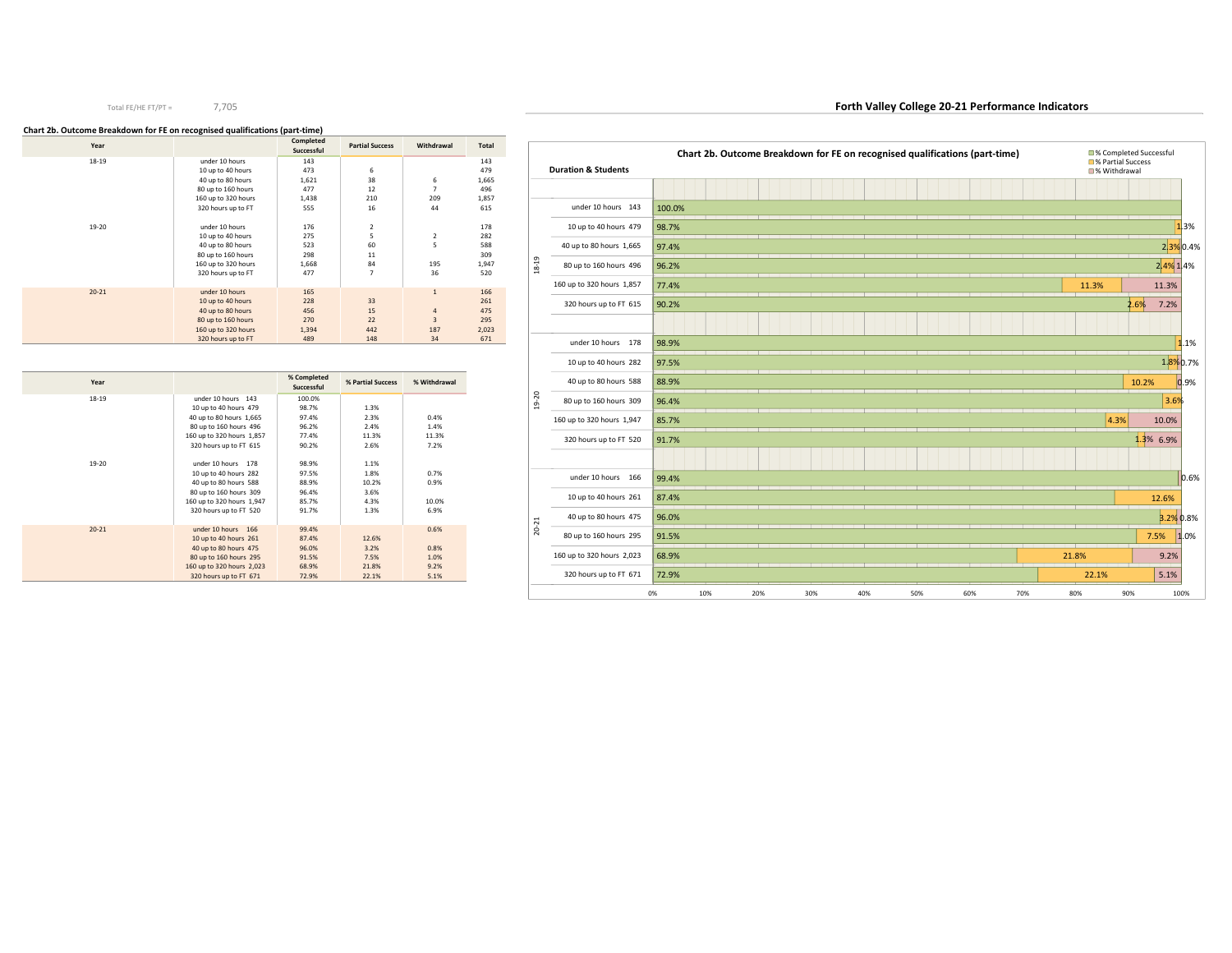## **Chart 2b. Outcome Breakdown for FE on recognised qualifications (part-time)**

| Year      |                     | Completed<br>Successful | <b>Partial Success</b> | Withdrawal     | Total |
|-----------|---------------------|-------------------------|------------------------|----------------|-------|
| $18 - 19$ | under 10 hours      | 143                     |                        |                | 143   |
|           | 10 up to 40 hours   | 473                     | 6                      |                | 479   |
|           | 40 up to 80 hours   | 1,621                   | 38                     | 6              | 1,665 |
|           | 80 up to 160 hours  | 477                     | 12                     | $\overline{7}$ | 496   |
|           | 160 up to 320 hours | 1,438                   | 210                    | 209            | 1,857 |
|           | 320 hours up to FT  | 555                     | 16                     | 44             | 615   |
| 19-20     | under 10 hours      | 176                     | 2                      |                | 178   |
|           | 10 up to 40 hours   | 275                     | 5                      | 2              | 282   |
|           | 40 up to 80 hours   | 523                     | 60                     | 5              | 588   |
|           | 80 up to 160 hours  | 298                     | 11                     |                | 309   |
|           | 160 up to 320 hours | 1,668                   | 84                     | 195            | 1,947 |
|           | 320 hours up to FT  | 477                     | $\overline{7}$         | 36             | 520   |
|           |                     |                         |                        |                |       |
| $20 - 21$ | under 10 hours      | 165                     |                        | $\mathbf{1}$   | 166   |
|           | 10 up to 40 hours   | 228                     | 33                     |                | 261   |
|           | 40 up to 80 hours   | 456                     | 15                     | $\overline{4}$ | 475   |
|           | 80 up to 160 hours  | 270                     | 22                     | 3              | 295   |
|           | 160 up to 320 hours | 1,394                   | 442                    | 187            | 2,023 |
|           | 320 hours up to FT  | 489                     | 148                    | 34             | 671   |

| Year      |                           | % Completed<br>Successful | % Partial Success | % Withdrawal |
|-----------|---------------------------|---------------------------|-------------------|--------------|
|           |                           |                           |                   |              |
| $18 - 19$ | under 10 hours 143        | 100.0%                    |                   |              |
|           | 10 up to 40 hours 479     | 98.7%                     | 1.3%              |              |
|           | 40 up to 80 hours 1,665   | 97.4%                     | 2.3%              | 0.4%         |
|           | 80 up to 160 hours 496    | 96.2%                     | 2.4%              | 1.4%         |
|           | 160 up to 320 hours 1,857 | 77.4%                     | 11.3%             | 11.3%        |
|           | 320 hours up to FT 615    | 90.2%                     | 2.6%              | 7.2%         |
|           |                           |                           |                   |              |
| 19-20     | under 10 hours 178        | 98.9%                     | 1.1%              |              |
|           | 10 up to 40 hours 282     | 97.5%                     | 1.8%              | 0.7%         |
|           | 40 up to 80 hours 588     | 88.9%                     | 10.2%             | 0.9%         |
|           | 80 up to 160 hours 309    | 96.4%                     | 3.6%              |              |
|           | 160 up to 320 hours 1,947 | 85.7%                     | 4.3%              | 10.0%        |
|           | 320 hours up to FT 520    | 91.7%                     | 1.3%              | 6.9%         |
|           |                           |                           |                   |              |
| $20 - 21$ | under 10 hours<br>166     | 99.4%                     |                   | 0.6%         |
|           | 10 up to 40 hours 261     | 87.4%                     | 12.6%             |              |
|           | 40 up to 80 hours 475     | 96.0%                     | 3.2%              | 0.8%         |
|           | 80 up to 160 hours 295    | 91.5%                     | 7.5%              | 1.0%         |
|           | 160 up to 320 hours 2,023 | 68.9%                     | 21.8%             | 9.2%         |
|           | 320 hours up to FT 671    | 72.9%                     | 22.1%             | 5.1%         |



**Forth Valley College 20-21 Performance Indicators**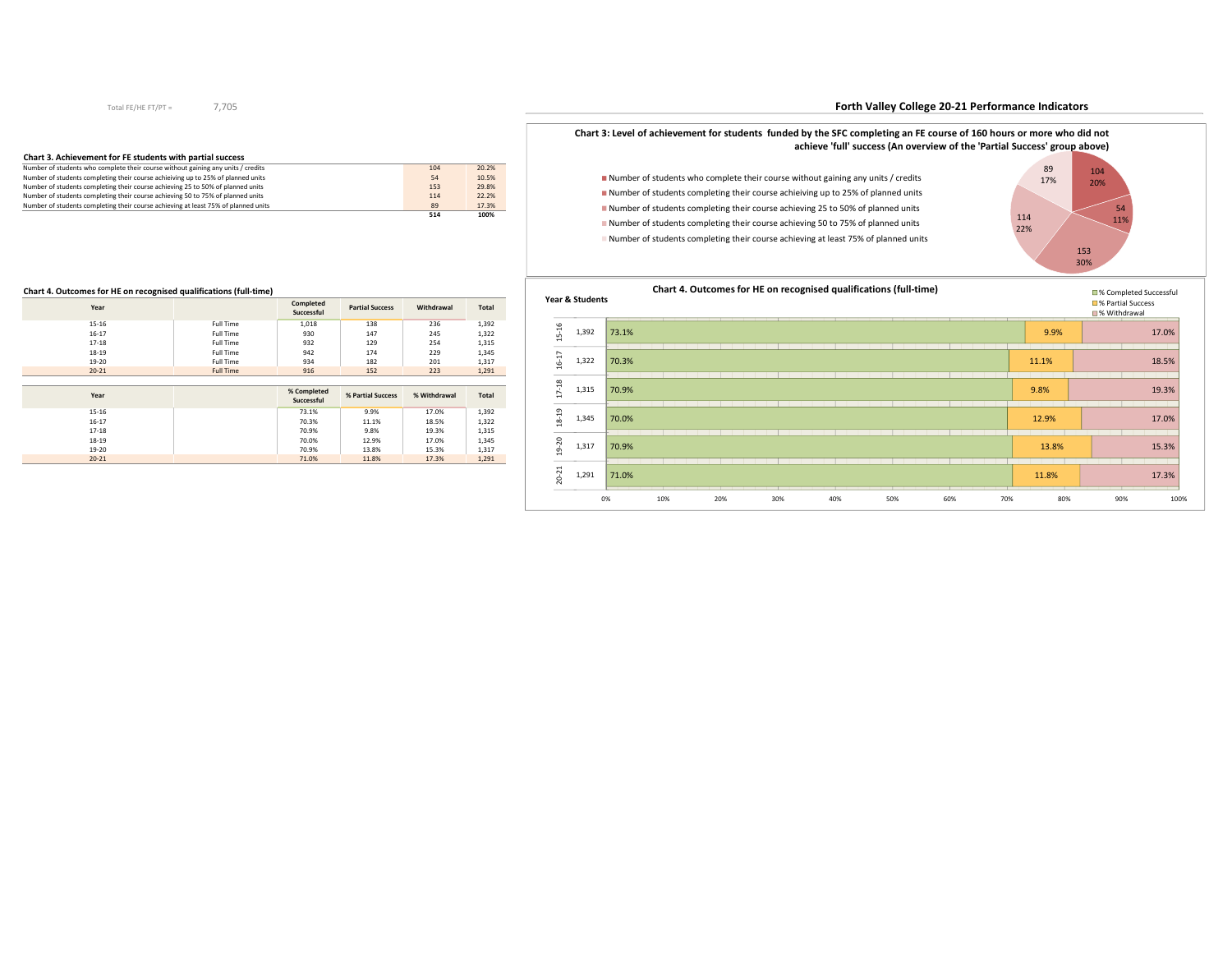## 7,705

# **Forth Valley College 20-21 Performance Indicators**

# **Chart 3. Achievement for FE students with partial success**

|                                                                                    | 514 | 100%  |  |
|------------------------------------------------------------------------------------|-----|-------|--|
| Number of students completing their course achieving at least 75% of planned units | 89  | 17.3% |  |
| Number of students completing their course achieving 50 to 75% of planned units    | 114 | 22.2% |  |
| Number of students completing their course achieving 25 to 50% of planned units    | 153 | 29.8% |  |
| Number of students completing their course achieiving up to 25% of planned units   | 54  | 10.5% |  |
| Number of students who complete their course without gaining any units / credits   | 104 | 20.2% |  |

#### **Chart 3: Level of achievement for students funded by the SFC completing an FE course of 160 hours or more who did not achieve 'full' success (An overview of the 'Partial Success' group above)Chart 3: Level of achievement for students funded by the SFC completing an FE course of 160 hours or more who did not achieve 'full' success (An overview of the 'Partial Success' group above)**

Number of students who complete their course without gaining any units / credits Number of students completing their course achieiving up to 25% of planned units Number of students completing their course achieving 25 to 50% of planned units Number of students completing their course achieving 50 to 75% of planned unitsNumber of students completing their course achieving at least 75% of planned units





# **Chart 4. Outcomes for HE on recognised qualifications (full-time)**

| Year      |                  | Completed<br>Successful   | <b>Partial Success</b> | Withdrawal   | <b>Total</b> |
|-----------|------------------|---------------------------|------------------------|--------------|--------------|
| $15 - 16$ | Full Time        | 1,018                     | 138                    | 236          | 1,392        |
| $16 - 17$ | Full Time        | 930                       | 147                    | 245          | 1,322        |
| $17 - 18$ | Full Time        | 932                       | 129                    | 254          | 1,315        |
| 18-19     | Full Time        | 942                       | 174                    | 229          | 1,345        |
| 19-20     | Full Time        | 934                       | 182                    | 201          | 1,317        |
| $20 - 21$ | <b>Full Time</b> | 916                       | 152                    | 223          | 1,291        |
|           |                  |                           |                        |              |              |
|           |                  |                           |                        |              |              |
| Year      |                  | % Completed<br>Successful | % Partial Success      | % Withdrawal | Total        |
| $15 - 16$ |                  | 73.1%                     | 9.9%                   | 17.0%        | 1,392        |
| $16 - 17$ |                  | 70.3%                     | 11.1%                  | 18.5%        | 1,322        |
| $17 - 18$ |                  | 70.9%                     | 9.8%                   | 19.3%        | 1,315        |
| 18-19     |                  | 70.0%                     | 12.9%                  | 17.0%        | 1,345        |
| 19-20     |                  | 70.9%                     | 13.8%                  | 15.3%        | 1,317        |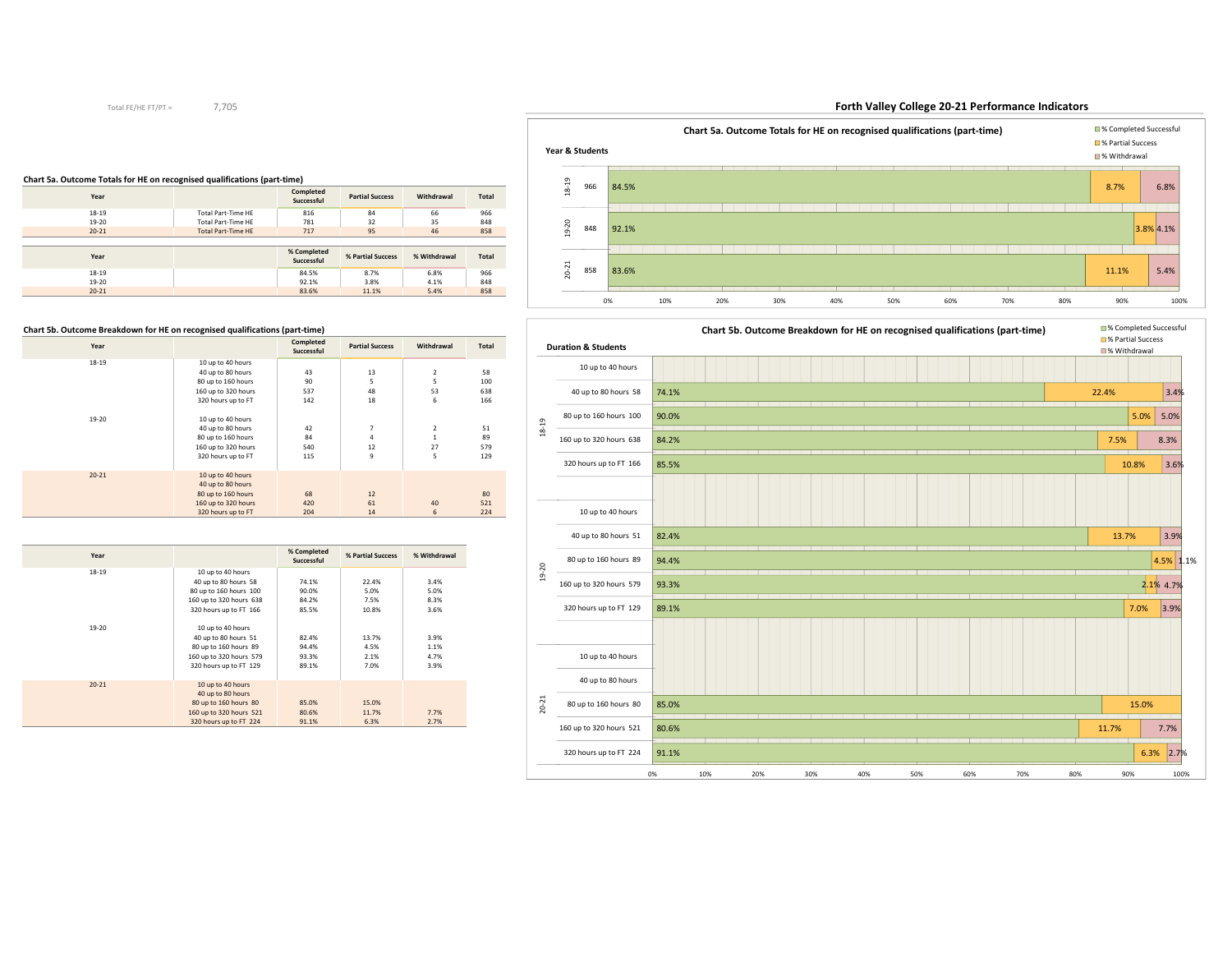## 7,705

# **Forth Valley College 20-21 Performance Indicators**



# **Chart 5a. Outcome Totals for HE on recognised qualifications (part-time)**

| Year      |                           | Completed<br>Successful   | <b>Partial Success</b> | Withdrawal   | Total        |
|-----------|---------------------------|---------------------------|------------------------|--------------|--------------|
| $18 - 19$ | Total Part-Time HE        | 816                       | 84                     | 66           | 966          |
| 19-20     | Total Part-Time HE        | 781                       | 32                     | 35           | 848          |
| $20 - 21$ | <b>Total Part-Time HE</b> | 717                       | 95                     | 46           | 858          |
|           |                           |                           |                        |              |              |
|           |                           |                           |                        |              |              |
| Year      |                           | % Completed<br>Successful | % Partial Success      | % Withdrawal | <b>Total</b> |
| $18 - 19$ |                           | 84.5%                     | 8.7%                   | 6.8%         | 966          |
| 19-20     |                           | 92.1%                     | 3.8%                   | 4.1%         | 848          |



# **Chart 5b. Outcome Breakdown for HE on recognised qualifications (part-time)**

| Year      |                     | Completed<br>Successful | <b>Partial Success</b> | Withdrawal     | <b>Total</b> |
|-----------|---------------------|-------------------------|------------------------|----------------|--------------|
| $18 - 19$ | 10 up to 40 hours   |                         |                        |                |              |
|           | 40 up to 80 hours   | 43                      | 13                     | $\overline{2}$ | 58           |
|           | 80 up to 160 hours  | 90                      | 5                      | 5              | 100          |
|           | 160 up to 320 hours | 537                     | 48                     | 53             | 638          |
|           | 320 hours up to FT  | 142                     | 18                     | 6              | 166          |
| 19-20     | 10 up to 40 hours   |                         |                        |                |              |
|           | 40 up to 80 hours   | 42                      | $\overline{7}$         | $\overline{2}$ | 51           |
|           | 80 up to 160 hours  | 84                      | 4                      | $\mathbf{1}$   | 89           |
|           | 160 up to 320 hours | 540                     | 12                     | 27             | 579          |
|           | 320 hours up to FT  | 115                     | 9                      | 5              | 129          |
| $20 - 21$ | 10 up to 40 hours   |                         |                        |                |              |
|           | 40 up to 80 hours   |                         |                        |                |              |
|           | 80 up to 160 hours  | 68                      | 12                     |                | 80           |
|           | 160 up to 320 hours | 420                     | 61                     | 40             | 521          |
|           | 320 hours up to FT  | 204                     | 14                     | 6              | 224          |

| Year      |                         | % Completed<br>Successful | % Partial Success | % Withdrawal |
|-----------|-------------------------|---------------------------|-------------------|--------------|
| $18 - 19$ | 10 up to 40 hours       |                           |                   |              |
|           | 40 up to 80 hours 58    | 74.1%                     | 22.4%             | 3.4%         |
|           | 80 up to 160 hours 100  | 90.0%                     | 5.0%              | 5.0%         |
|           | 160 up to 320 hours 638 | 84.2%                     | 7.5%              | 8.3%         |
|           | 320 hours up to FT 166  | 85.5%                     | 10.8%             | 3.6%         |
| 19-20     | 10 up to 40 hours       |                           |                   |              |
|           | 40 up to 80 hours 51    | 82.4%                     | 13.7%             | 3.9%         |
|           | 80 up to 160 hours 89   | 94.4%                     | 4.5%              | 1.1%         |
|           | 160 up to 320 hours 579 | 93.3%                     | 2.1%              | 4.7%         |
|           | 320 hours up to FT 129  | 89.1%                     | 7.0%              | 3.9%         |
| $20 - 21$ | 10 up to 40 hours       |                           |                   |              |
|           | 40 up to 80 hours       |                           |                   |              |
|           | 80 up to 160 hours 80   | 85.0%                     | 15.0%             |              |
|           | 160 up to 320 hours 521 | 80.6%                     | 11.7%             | 7.7%         |
|           | 320 hours up to FT 224  | 91.1%                     | 6.3%              | 2.7%         |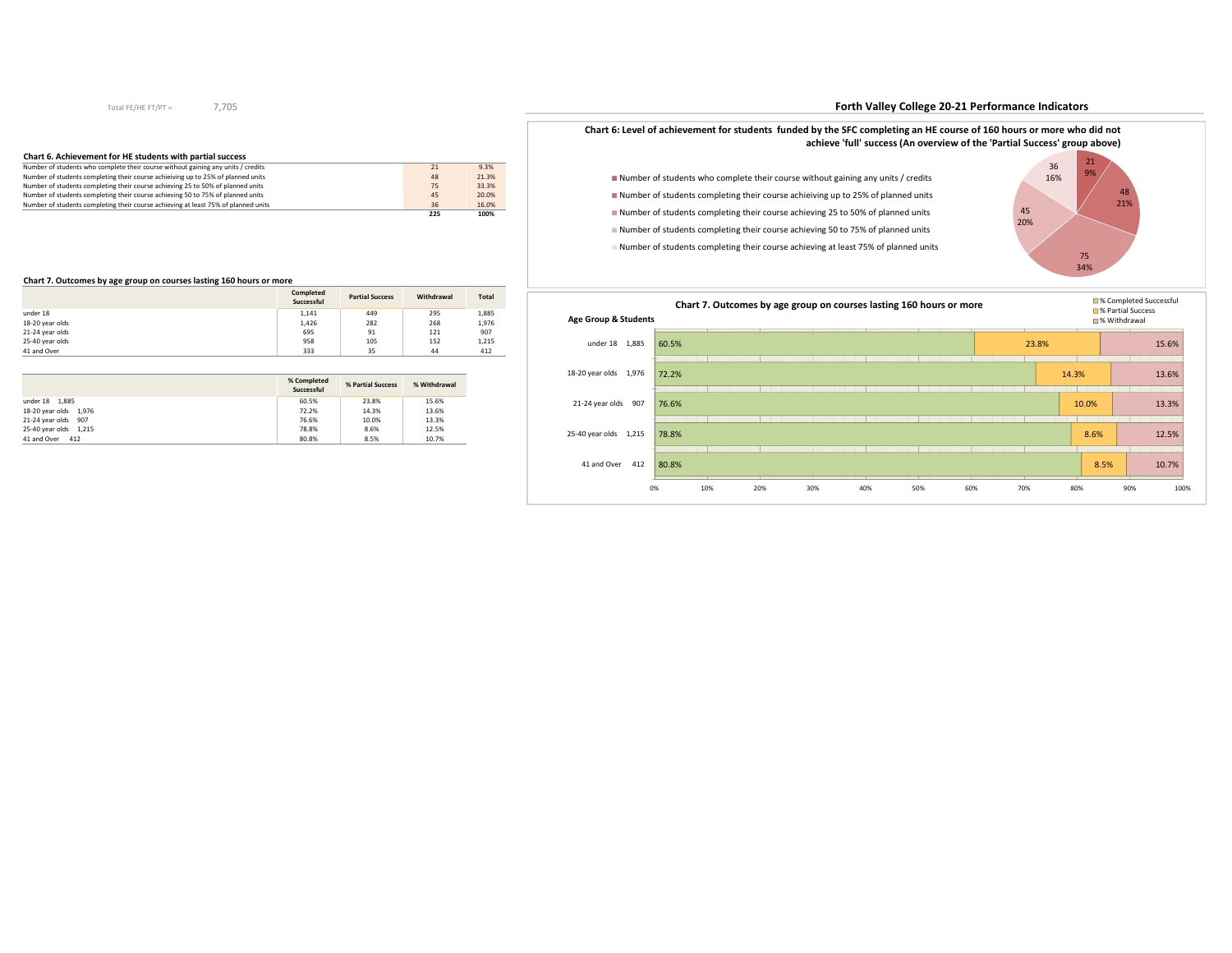# 7,705

# **Chart 6. Achievement for HE students with partial success**

|                                                                                    | 225 | 100%  |
|------------------------------------------------------------------------------------|-----|-------|
| Number of students completing their course achieving at least 75% of planned units | 36  | 16.0% |
| Number of students completing their course achieving 50 to 75% of planned units    | 45  | 20.0% |
| Number of students completing their course achieving 25 to 50% of planned units    | 75  | 33.3% |
| Number of students completing their course achieiving up to 25% of planned units   | 48  | 21.3% |
| Number of students who complete their course without gaining any units / credits   | 21  | 9.3%  |

#### **Chart 7. Outcomes by age group on courses lasting 160 hours or more**

|                 | Completed<br>Successful | <b>Partial Success</b> | Withdrawal | <b>Total</b> |
|-----------------|-------------------------|------------------------|------------|--------------|
| under 18        | 1.141                   | 449                    | 295        | 1,885        |
| 18-20 year olds | 1,426                   | 282                    | 268        | 1,976        |
| 21-24 year olds | 695                     | 91                     | 121        | 907          |
| 25-40 year olds | 958                     | 105                    | 152        | 1,215        |
| 41 and Over     | 333                     | 35                     | 44         | 412          |

|                       | % Completed<br>Successful | % Partial Success | % Withdrawal |
|-----------------------|---------------------------|-------------------|--------------|
| under 18 1,885        | 60.5%                     | 23.8%             | 15.6%        |
| 18-20 year olds 1,976 | 72.2%                     | 14.3%             | 13.6%        |
| 21-24 year olds 907   | 76.6%                     | 10.0%             | 13.3%        |
| 25-40 year olds 1,215 | 78.8%                     | 8.6%              | 12.5%        |
| 41 and Over 412       | 80.8%                     | 8.5%              | 10.7%        |

# **Forth Valley College 20-21 Performance Indicators**



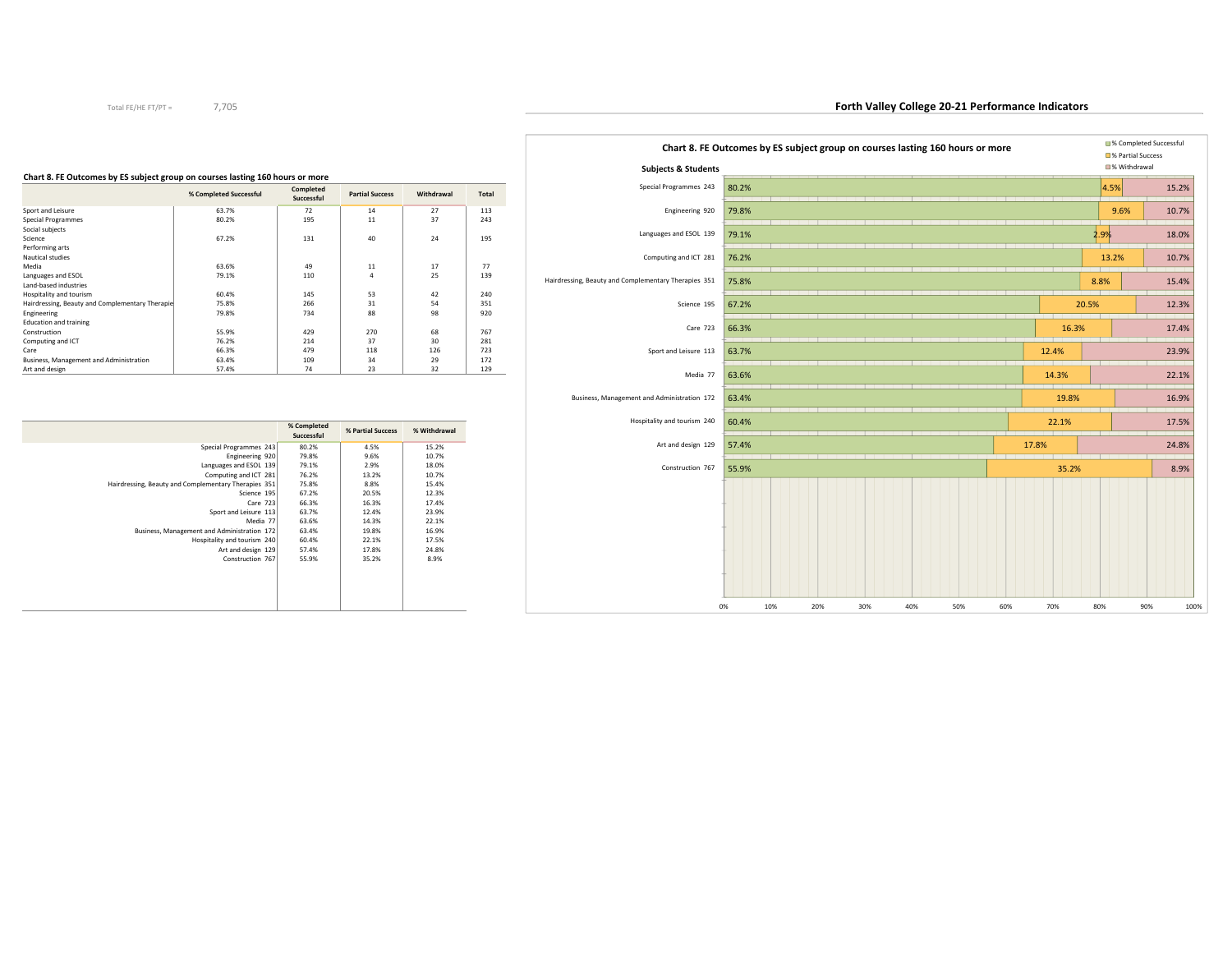| Chart 8. FE Outcomes by ES subject group on courses lasting 160 hours or more<br><b>Subjects &amp; Students</b> |       |     |     |     |     |     |     |       |       | ■% Completed Successful<br>□% Partial Success<br>■% Withdrawal |       |
|-----------------------------------------------------------------------------------------------------------------|-------|-----|-----|-----|-----|-----|-----|-------|-------|----------------------------------------------------------------|-------|
| Special Programmes 243                                                                                          | 80.2% |     |     |     |     |     |     |       | 4.5%  |                                                                | 15.2% |
| Engineering 920                                                                                                 | 79.8% |     |     |     |     |     |     |       | 9.6%  |                                                                | 10.7% |
| Languages and ESOL 139                                                                                          | 79.1% |     |     |     |     |     |     |       | 2.9%  |                                                                | 18.0% |
| Computing and ICT 281                                                                                           | 76.2% |     |     |     |     |     |     |       | 13.2% |                                                                | 10.7% |
| Hairdressing, Beauty and Complementary Therapies 351                                                            | 75.8% |     |     |     |     |     |     |       | 8.8%  |                                                                | 15.4% |
| Science 195                                                                                                     | 67.2% |     |     |     |     |     |     |       | 20.5% |                                                                | 12.3% |
| Care 723                                                                                                        | 66.3% |     |     |     |     |     |     | 16.3% |       |                                                                | 17.4% |
| Sport and Leisure 113                                                                                           | 63.7% |     |     |     |     |     |     | 12.4% |       |                                                                | 23.9% |
| Media 77                                                                                                        | 63.6% |     |     |     |     |     |     | 14.3% |       |                                                                | 22.1% |
| Business, Management and Administration 172                                                                     | 63.4% |     |     |     |     |     |     | 19.8% |       |                                                                | 16.9% |
| Hospitality and tourism 240                                                                                     | 60.4% |     |     |     |     |     |     | 22.1% |       |                                                                | 17.5% |
| Art and design 129                                                                                              | 57.4% |     |     |     |     |     |     | 17.8% |       |                                                                | 24.8% |
| Construction 767                                                                                                | 55.9% |     |     |     |     |     |     | 35.2% |       |                                                                | 8.9%  |
|                                                                                                                 | 0%    | 10% | 20% | 30% | 40% | 50% | 60% | 70%   | 80%   | 90%                                                            | 100%  |

| Chart 8. FE Outcomes by ES subject group on courses lasting 160 hours or more |           |  |
|-------------------------------------------------------------------------------|-----------|--|
|                                                                               | Completed |  |

| % Completed Successful                          | Completed<br>Successful | <b>Partial Success</b> | Withdrawal | <b>Total</b> |
|-------------------------------------------------|-------------------------|------------------------|------------|--------------|
| 63.7%                                           | 72                      | 14                     | 27         | 113          |
| 80.2%                                           | 195                     | 11                     | 37         | 243          |
|                                                 |                         |                        |            |              |
| 67.2%                                           | 131                     | 40                     | 24         | 195          |
|                                                 |                         |                        |            |              |
|                                                 |                         |                        |            |              |
| 63.6%                                           | 49                      | 11                     | 17         | 77           |
| 79.1%                                           | 110                     | $\overline{a}$         | 25         | 139          |
|                                                 |                         |                        |            |              |
| 60.4%                                           | 145                     | 53                     | 42         | 240          |
| 75.8%                                           | 266                     | 31                     | 54         | 351          |
| 79.8%                                           | 734                     | 88                     | 98         | 920          |
|                                                 |                         |                        |            |              |
| 55.9%                                           | 429                     | 270                    | 68         | 767          |
| 76.2%                                           | 214                     | 37                     | 30         | 281          |
| 66.3%                                           | 479                     | 118                    | 126        | 723          |
| 63.4%                                           | 109                     | 34                     | 29         | 172          |
| 57.4%                                           | 74                      | 23                     | 32         | 129          |
| Hairdressing, Beauty and Complementary Therapie |                         |                        |            |              |

|                                                      | % Completed<br>Successful | % Partial Success | % Withdrawal |
|------------------------------------------------------|---------------------------|-------------------|--------------|
| Special Programmes 243                               | 80.2%                     | 4.5%              | 15.2%        |
| Engineering 920                                      | 79.8%                     | 9.6%              | 10.7%        |
| Languages and ESOL 139                               | 79.1%                     | 2.9%              | 18.0%        |
| Computing and ICT 281                                | 76.2%                     | 13.2%             | 10.7%        |
| Hairdressing, Beauty and Complementary Therapies 351 | 75.8%                     | 8.8%              | 15.4%        |
| Science 195                                          | 67.2%                     | 20.5%             | 12.3%        |
| Care 723                                             | 66.3%                     | 16.3%             | 17.4%        |
| Sport and Leisure 113                                | 63.7%                     | 12.4%             | 23.9%        |
| Media 77                                             | 63.6%                     | 14.3%             | 22.1%        |
| Business, Management and Administration 172          | 63.4%                     | 19.8%             | 16.9%        |
| Hospitality and tourism 240                          | 60.4%                     | 22.1%             | 17.5%        |
| Art and design 129                                   | 57.4%                     | 17.8%             | 24.8%        |
| Construction 767                                     | 55.9%                     | 35.2%             | 8.9%         |
|                                                      |                           |                   |              |
|                                                      |                           |                   |              |
|                                                      |                           |                   |              |
|                                                      |                           |                   |              |
|                                                      |                           |                   |              |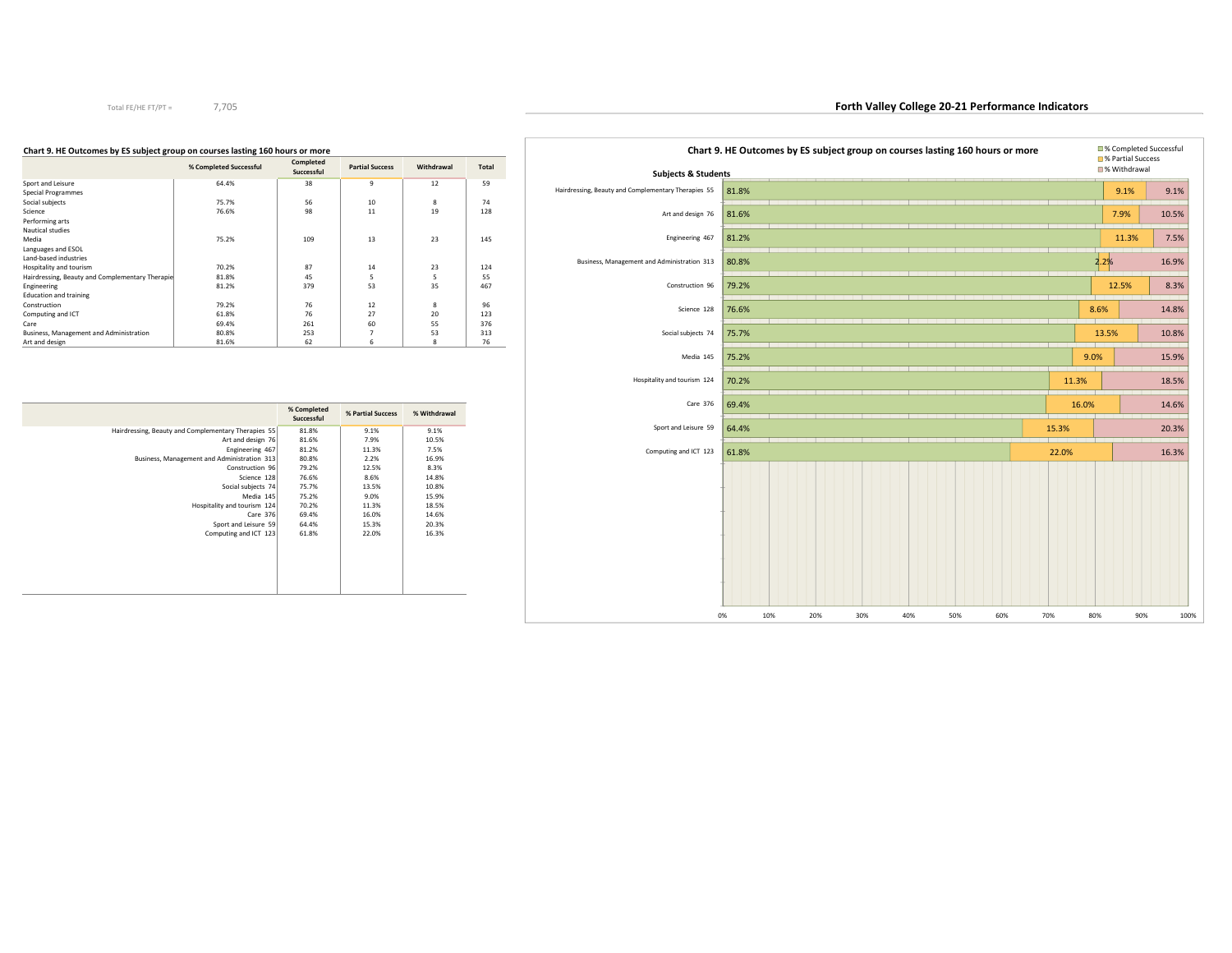| <b>Subjects &amp; Students</b>                      |       |  |  | Chart 9. HE Outcomes by ES subject group on courses lasting 160 hours or more |       |       | ■% Partial Success<br>■% Withdrawal | ■% Completed Successful |
|-----------------------------------------------------|-------|--|--|-------------------------------------------------------------------------------|-------|-------|-------------------------------------|-------------------------|
| Hairdressing, Beauty and Complementary Therapies 55 | 81.8% |  |  |                                                                               |       |       | 9.1%                                | 9.1%                    |
| Art and design 76                                   | 81.6% |  |  |                                                                               |       |       | 7.9%                                | 10.5%                   |
| Engineering 467                                     | 81.2% |  |  |                                                                               |       |       | 11.3%                               | 7.5%                    |
| Business, Management and Administration 313         | 80.8% |  |  |                                                                               |       | 2.2%  |                                     | 16.9%                   |
| Construction 96                                     | 79.2% |  |  |                                                                               |       |       | 12.5%                               | 8.3%                    |
| Science 128                                         | 76.6% |  |  |                                                                               |       | 8.6%  |                                     | 14.8%                   |
| Social subjects 74                                  | 75.7% |  |  |                                                                               |       |       | 13.5%                               | 10.8%                   |
| Media 145                                           | 75.2% |  |  |                                                                               |       | 9.0%  |                                     | 15.9%                   |
| Hospitality and tourism 124                         | 70.2% |  |  |                                                                               | 11.3% |       |                                     | 18.5%                   |
| Care 376                                            | 69.4% |  |  |                                                                               |       | 16.0% |                                     | 14.6%                   |
| Sport and Leisure 59                                | 64.4% |  |  |                                                                               | 15.3% |       |                                     | 20.3%                   |
| Computing and ICT 123                               | 61.8% |  |  |                                                                               | 22.0% |       |                                     | 16.3%                   |
|                                                     |       |  |  |                                                                               |       |       |                                     |                         |

#### **Chart 9. HE Outcomes by ES subject group on courses lasting 160 hours or more**

|                                                 | % Completed Successful | Completed<br>Successful | <b>Partial Success</b> | Withdrawal | Total |
|-------------------------------------------------|------------------------|-------------------------|------------------------|------------|-------|
| Sport and Leisure                               | 64.4%                  | 38                      | 9                      | 12         | 59    |
| Special Programmes                              |                        |                         |                        |            |       |
| Social subjects                                 | 75.7%                  | 56                      | 10                     | 8          | 74    |
| Science                                         | 76.6%                  | 98                      | 11                     | 19         | 128   |
| Performing arts                                 |                        |                         |                        |            |       |
| Nautical studies                                |                        |                         |                        |            |       |
| Media                                           | 75.2%                  | 109                     | 13                     | 23         | 145   |
| Languages and ESOL                              |                        |                         |                        |            |       |
| Land-based industries                           |                        |                         |                        |            |       |
| Hospitality and tourism                         | 70.2%                  | 87                      | 14                     | 23         | 124   |
| Hairdressing, Beauty and Complementary Therapie | 81.8%                  | 45                      | 5                      | 5          | 55    |
| Engineering                                     | 81.2%                  | 379                     | 53                     | 35         | 467   |
| <b>Education and training</b>                   |                        |                         |                        |            |       |
| Construction                                    | 79.2%                  | 76                      | 12                     | 8          | 96    |
| Computing and ICT                               | 61.8%                  | 76                      | 27                     | 20         | 123   |
| Care                                            | 69.4%                  | 261                     | 60                     | 55         | 376   |
| Business, Management and Administration         | 80.8%                  | 253                     | 7                      | 53         | 313   |
| Art and design                                  | 81.6%                  | 62                      | 6                      | 8          | 76    |

|                                                     | % Completed<br>Successful | % Partial Success | % Withdrawal |
|-----------------------------------------------------|---------------------------|-------------------|--------------|
| Hairdressing, Beauty and Complementary Therapies 55 | 81.8%                     | 9.1%              | 9.1%         |
| Art and design 76                                   | 81.6%                     | 7.9%              | 10.5%        |
| Engineering 467                                     | 81.2%                     | 11.3%             | 7.5%         |
| Business, Management and Administration 313         | 80.8%                     | 2.2%              | 16.9%        |
| Construction 96                                     | 79.2%                     | 12.5%             | 8.3%         |
| Science 128                                         | 76.6%                     | 8.6%              | 14.8%        |
| Social subjects 74                                  | 75.7%                     | 13.5%             | 10.8%        |
| Media 145                                           | 75.2%                     | 9.0%              | 15.9%        |
| Hospitality and tourism 124                         | 70.2%                     | 11.3%             | 18.5%        |
| Care 376                                            | 69.4%                     | 16.0%             | 14.6%        |
| Sport and Leisure 59                                | 64.4%                     | 15.3%             | 20.3%        |
| Computing and ICT 123                               | 61.8%                     | 22.0%             | 16.3%        |
|                                                     |                           |                   |              |

Total FE/HE FT/PT =7,705

# **Forth Valley College 20-21 Performance Indicators**

0% 10% 20% 30% 40% 50% 60% 70% 80% 90% 100%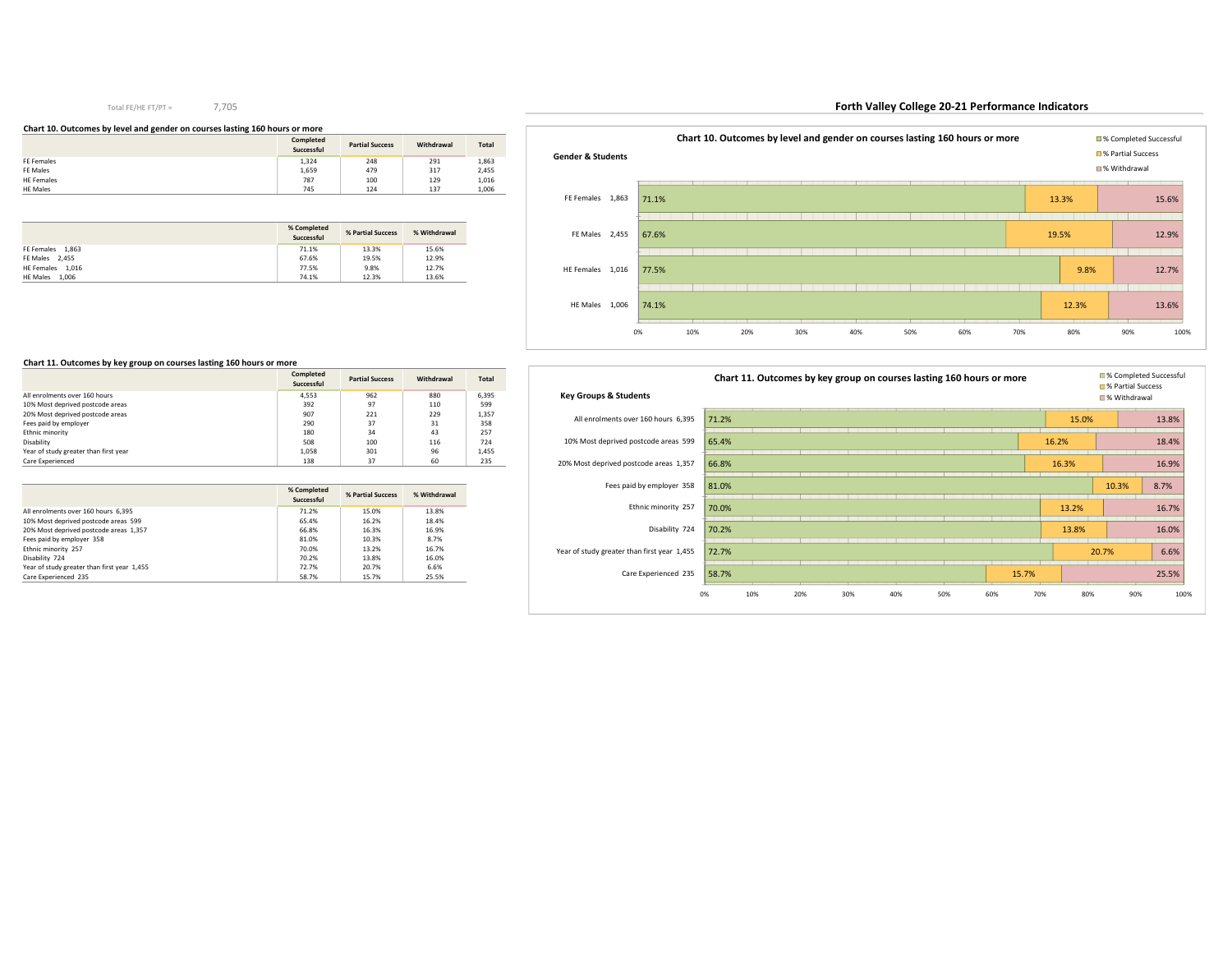#### **Chart 10. Outcomes by level and gender on courses lasting 160 hours or more**

|                   | Completed<br>Successful | <b>Partial Success</b> | Withdrawal | <b>Total</b> |
|-------------------|-------------------------|------------------------|------------|--------------|
| FE Females        | 1,324                   | 248                    | 291        | 1,863        |
| FE Males          | 1,659                   | 479                    | 317        | 2,455        |
| <b>HE Females</b> | 787                     | 100                    | 129        | 1,016        |
| <b>HE Males</b>   | 745                     | 124                    | 137        | 1,006        |

|                          | % Completed<br>Successful | % Partial Success | % Withdrawal |
|--------------------------|---------------------------|-------------------|--------------|
| FE Females 1.863         | 71.1%                     | 13.3%             | 15.6%        |
| FE Males 2.455           | 67.6%                     | 19.5%             | 12.9%        |
| HE Females 1.016         | 77.5%                     | 9.8%              | 12.7%        |
| 1.006<br><b>HE Males</b> | 74.1%                     | 12.3%             | 13.6%        |



# **Forth Valley College 20-21 Performance Indicators**



## **Chart 11. Outcomes by key group on courses lasting 160 hours or more**

|                                       | Completed<br>Successful | <b>Partial Success</b> | Withdrawal | <b>Total</b> |
|---------------------------------------|-------------------------|------------------------|------------|--------------|
| All enrolments over 160 hours         | 4.553                   | 962                    | 880        | 6.395        |
| 10% Most deprived postcode areas      | 392                     | 97                     | 110        | 599          |
| 20% Most deprived postcode areas      | 907                     | 221                    | 229        | 1.357        |
| Fees paid by employer                 | 290                     | 37                     | 31         | 358          |
| Ethnic minority                       | 180                     | 34                     | 43         | 257          |
| Disability                            | 508                     | 100                    | 116        | 724          |
| Year of study greater than first year | 1.058                   | 301                    | 96         | 1.455        |
| Care Experienced                      | 138                     | 37                     | 60         | 235          |

|                                             | % Completed<br>Successful | % Partial Success | % Withdrawal |
|---------------------------------------------|---------------------------|-------------------|--------------|
| All enrolments over 160 hours 6.395         | 71.2%                     | 15.0%             | 13.8%        |
| 10% Most deprived postcode areas 599        | 65.4%                     | 16.2%             | 18.4%        |
| 20% Most deprived postcode areas 1,357      | 66.8%                     | 16.3%             | 16.9%        |
| Fees paid by employer 358                   | 81.0%                     | 10.3%             | 8.7%         |
| Ethnic minority 257                         | 70.0%                     | 13.2%             | 16.7%        |
| Disability 724                              | 70.2%                     | 13.8%             | 16.0%        |
| Year of study greater than first year 1,455 | 72.7%                     | 20.7%             | 6.6%         |
| Care Experienced 235                        | 58.7%                     | 15.7%             | 25.5%        |